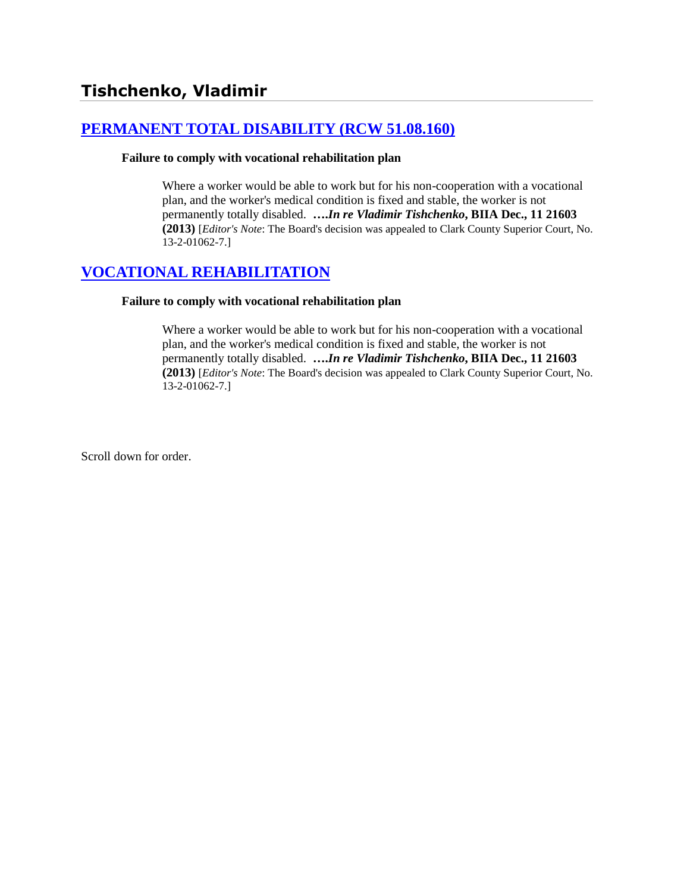# **[PERMANENT TOTAL DISABILITY \(RCW 51.08.160\)](http://www.biia.wa.gov/SDSubjectIndex.html#PERMANENT_TOTAL_DISABILITY)**

#### **Failure to comply with vocational rehabilitation plan**

Where a worker would be able to work but for his non-cooperation with a vocational plan, and the worker's medical condition is fixed and stable, the worker is not permanently totally disabled. **….***In re Vladimir Tishchenko***, BIIA Dec., 11 21603 (2013)** [*Editor's Note*: The Board's decision was appealed to Clark County Superior Court, No. 13-2-01062-7.]

## **[VOCATIONAL REHABILITATION](http://www.biia.wa.gov/SDSubjectIndex.html#VOCATIONAL_REHABILITATION)**

#### **Failure to comply with vocational rehabilitation plan**

Where a worker would be able to work but for his non-cooperation with a vocational plan, and the worker's medical condition is fixed and stable, the worker is not permanently totally disabled. **….***In re Vladimir Tishchenko***, BIIA Dec., 11 21603 (2013)** [*Editor's Note*: The Board's decision was appealed to Clark County Superior Court, No. 13-2-01062-7.]

Scroll down for order.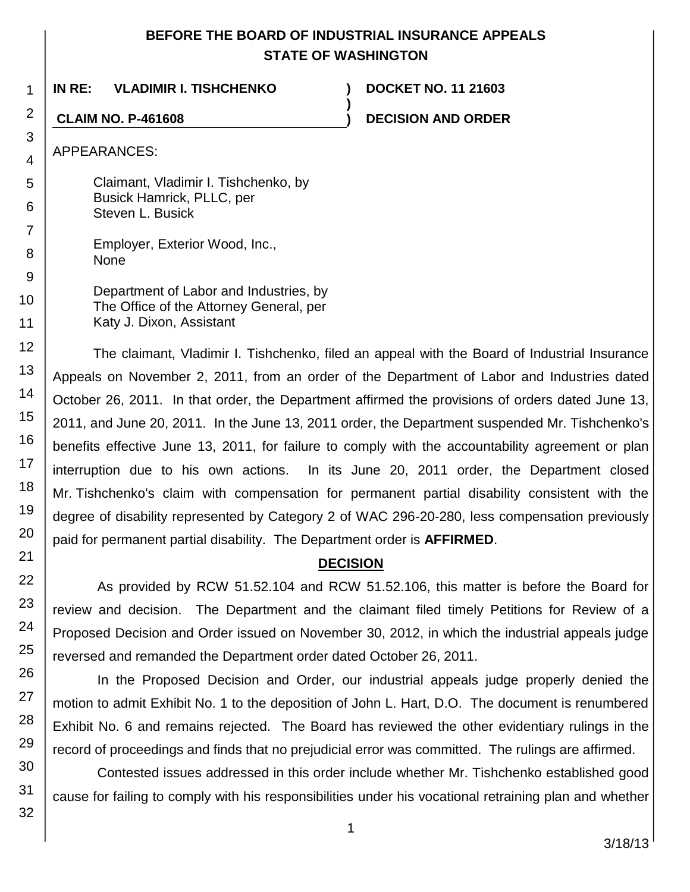## **BEFORE THE BOARD OF INDUSTRIAL INSURANCE APPEALS STATE OF WASHINGTON**

**)**

**IN RE: VLADIMIR I. TISHCHENKO ) DOCKET NO. 11 21603**

**CLAIM NO. P-461608 ) DECISION AND ORDER**

APPEARANCES:

Claimant, Vladimir I. Tishchenko, by Busick Hamrick, PLLC, per Steven L. Busick

Employer, Exterior Wood, Inc., None

Department of Labor and Industries, by The Office of the Attorney General, per Katy J. Dixon, Assistant

The claimant, Vladimir I. Tishchenko, filed an appeal with the Board of Industrial Insurance Appeals on November 2, 2011, from an order of the Department of Labor and Industries dated October 26, 2011. In that order, the Department affirmed the provisions of orders dated June 13, 2011, and June 20, 2011. In the June 13, 2011 order, the Department suspended Mr. Tishchenko's benefits effective June 13, 2011, for failure to comply with the accountability agreement or plan interruption due to his own actions. In its June 20, 2011 order, the Department closed Mr. Tishchenko's claim with compensation for permanent partial disability consistent with the degree of disability represented by Category 2 of WAC 296-20-280, less compensation previously paid for permanent partial disability. The Department order is **AFFIRMED**.

# **DECISION**

As provided by RCW 51.52.104 and RCW 51.52.106, this matter is before the Board for review and decision. The Department and the claimant filed timely Petitions for Review of a Proposed Decision and Order issued on November 30, 2012, in which the industrial appeals judge reversed and remanded the Department order dated October 26, 2011.

In the Proposed Decision and Order, our industrial appeals judge properly denied the motion to admit Exhibit No. 1 to the deposition of John L. Hart, D.O. The document is renumbered Exhibit No. 6 and remains rejected. The Board has reviewed the other evidentiary rulings in the record of proceedings and finds that no prejudicial error was committed. The rulings are affirmed.

Contested issues addressed in this order include whether Mr. Tishchenko established good cause for failing to comply with his responsibilities under his vocational retraining plan and whether

1

2

3

4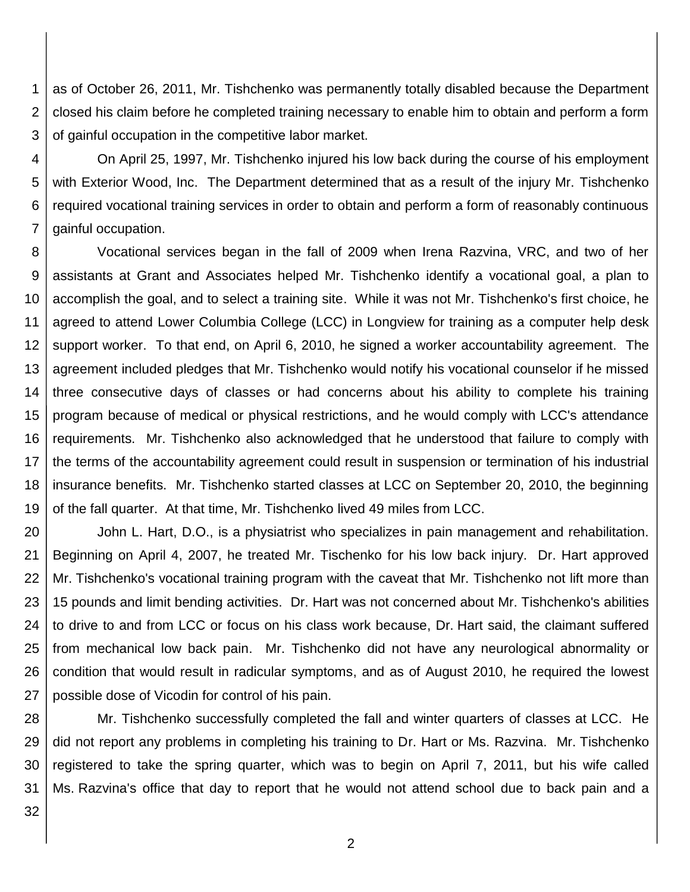1 2 3 as of October 26, 2011, Mr. Tishchenko was permanently totally disabled because the Department closed his claim before he completed training necessary to enable him to obtain and perform a form of gainful occupation in the competitive labor market.

4 5 6 7 On April 25, 1997, Mr. Tishchenko injured his low back during the course of his employment with Exterior Wood, Inc. The Department determined that as a result of the injury Mr. Tishchenko required vocational training services in order to obtain and perform a form of reasonably continuous gainful occupation.

8 9 10 11 12 13 14 15 16 17 18 19 Vocational services began in the fall of 2009 when Irena Razvina, VRC, and two of her assistants at Grant and Associates helped Mr. Tishchenko identify a vocational goal, a plan to accomplish the goal, and to select a training site. While it was not Mr. Tishchenko's first choice, he agreed to attend Lower Columbia College (LCC) in Longview for training as a computer help desk support worker. To that end, on April 6, 2010, he signed a worker accountability agreement. The agreement included pledges that Mr. Tishchenko would notify his vocational counselor if he missed three consecutive days of classes or had concerns about his ability to complete his training program because of medical or physical restrictions, and he would comply with LCC's attendance requirements. Mr. Tishchenko also acknowledged that he understood that failure to comply with the terms of the accountability agreement could result in suspension or termination of his industrial insurance benefits. Mr. Tishchenko started classes at LCC on September 20, 2010, the beginning of the fall quarter. At that time, Mr. Tishchenko lived 49 miles from LCC.

20 21 22 23 24 25 26 27 John L. Hart, D.O., is a physiatrist who specializes in pain management and rehabilitation. Beginning on April 4, 2007, he treated Mr. Tischenko for his low back injury. Dr. Hart approved Mr. Tishchenko's vocational training program with the caveat that Mr. Tishchenko not lift more than 15 pounds and limit bending activities. Dr. Hart was not concerned about Mr. Tishchenko's abilities to drive to and from LCC or focus on his class work because, Dr. Hart said, the claimant suffered from mechanical low back pain. Mr. Tishchenko did not have any neurological abnormality or condition that would result in radicular symptoms, and as of August 2010, he required the lowest possible dose of Vicodin for control of his pain.

28 29 30 31 Mr. Tishchenko successfully completed the fall and winter quarters of classes at LCC. He did not report any problems in completing his training to Dr. Hart or Ms. Razvina. Mr. Tishchenko registered to take the spring quarter, which was to begin on April 7, 2011, but his wife called Ms. Razvina's office that day to report that he would not attend school due to back pain and a

32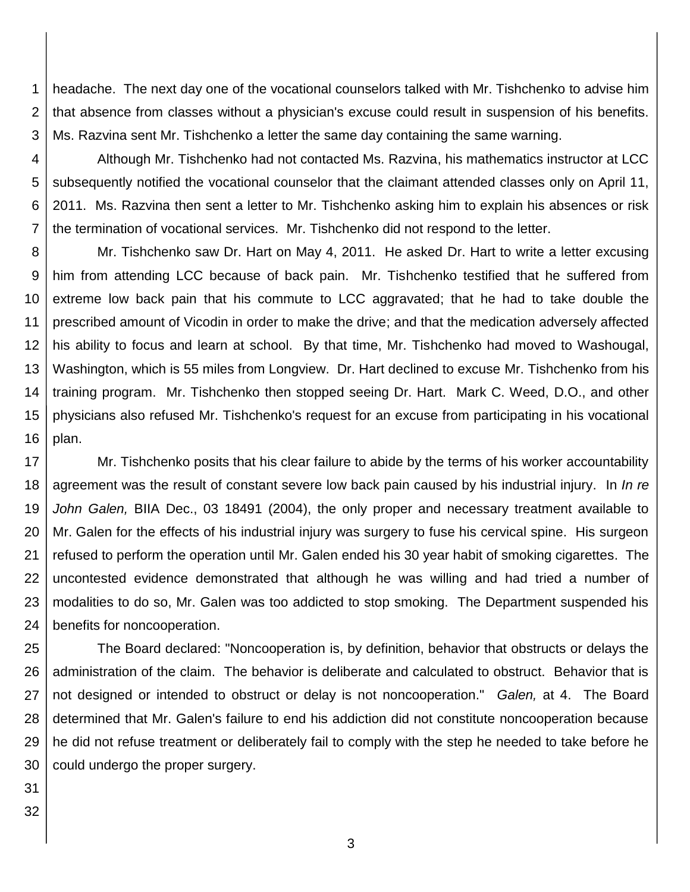1 2 3 headache. The next day one of the vocational counselors talked with Mr. Tishchenko to advise him that absence from classes without a physician's excuse could result in suspension of his benefits. Ms. Razvina sent Mr. Tishchenko a letter the same day containing the same warning.

4 5 6 7 Although Mr. Tishchenko had not contacted Ms. Razvina, his mathematics instructor at LCC subsequently notified the vocational counselor that the claimant attended classes only on April 11, 2011. Ms. Razvina then sent a letter to Mr. Tishchenko asking him to explain his absences or risk the termination of vocational services. Mr. Tishchenko did not respond to the letter.

8 9 10 11 12 13 14 15 16 Mr. Tishchenko saw Dr. Hart on May 4, 2011. He asked Dr. Hart to write a letter excusing him from attending LCC because of back pain. Mr. Tishchenko testified that he suffered from extreme low back pain that his commute to LCC aggravated; that he had to take double the prescribed amount of Vicodin in order to make the drive; and that the medication adversely affected his ability to focus and learn at school. By that time, Mr. Tishchenko had moved to Washougal, Washington, which is 55 miles from Longview. Dr. Hart declined to excuse Mr. Tishchenko from his training program. Mr. Tishchenko then stopped seeing Dr. Hart. Mark C. Weed, D.O., and other physicians also refused Mr. Tishchenko's request for an excuse from participating in his vocational plan.

17 18 19 20 21 22 23 24 Mr. Tishchenko posits that his clear failure to abide by the terms of his worker accountability agreement was the result of constant severe low back pain caused by his industrial injury. In *In re John Galen,* BIIA Dec., 03 18491 (2004), the only proper and necessary treatment available to Mr. Galen for the effects of his industrial injury was surgery to fuse his cervical spine. His surgeon refused to perform the operation until Mr. Galen ended his 30 year habit of smoking cigarettes. The uncontested evidence demonstrated that although he was willing and had tried a number of modalities to do so, Mr. Galen was too addicted to stop smoking. The Department suspended his benefits for noncooperation.

25 26 27 28 29 30 The Board declared: "Noncooperation is, by definition, behavior that obstructs or delays the administration of the claim. The behavior is deliberate and calculated to obstruct. Behavior that is not designed or intended to obstruct or delay is not noncooperation." *Galen,* at 4. The Board determined that Mr. Galen's failure to end his addiction did not constitute noncooperation because he did not refuse treatment or deliberately fail to comply with the step he needed to take before he could undergo the proper surgery.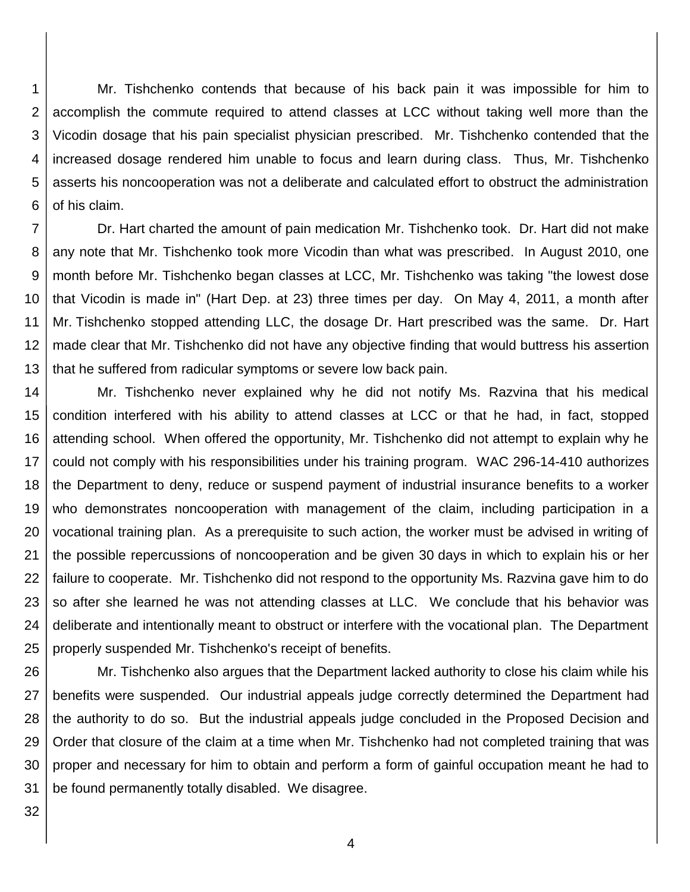1 2 3 4 5 6 Mr. Tishchenko contends that because of his back pain it was impossible for him to accomplish the commute required to attend classes at LCC without taking well more than the Vicodin dosage that his pain specialist physician prescribed. Mr. Tishchenko contended that the increased dosage rendered him unable to focus and learn during class. Thus, Mr. Tishchenko asserts his noncooperation was not a deliberate and calculated effort to obstruct the administration of his claim.

7 8 9 10 11 12 13 Dr. Hart charted the amount of pain medication Mr. Tishchenko took. Dr. Hart did not make any note that Mr. Tishchenko took more Vicodin than what was prescribed. In August 2010, one month before Mr. Tishchenko began classes at LCC, Mr. Tishchenko was taking "the lowest dose that Vicodin is made in" (Hart Dep. at 23) three times per day. On May 4, 2011, a month after Mr. Tishchenko stopped attending LLC, the dosage Dr. Hart prescribed was the same. Dr. Hart made clear that Mr. Tishchenko did not have any objective finding that would buttress his assertion that he suffered from radicular symptoms or severe low back pain.

14 15 16 17 18 19 20 21 22 23 24 25 Mr. Tishchenko never explained why he did not notify Ms. Razvina that his medical condition interfered with his ability to attend classes at LCC or that he had, in fact, stopped attending school. When offered the opportunity, Mr. Tishchenko did not attempt to explain why he could not comply with his responsibilities under his training program. WAC 296-14-410 authorizes the Department to deny, reduce or suspend payment of industrial insurance benefits to a worker who demonstrates noncooperation with management of the claim, including participation in a vocational training plan. As a prerequisite to such action, the worker must be advised in writing of the possible repercussions of noncooperation and be given 30 days in which to explain his or her failure to cooperate. Mr. Tishchenko did not respond to the opportunity Ms. Razvina gave him to do so after she learned he was not attending classes at LLC. We conclude that his behavior was deliberate and intentionally meant to obstruct or interfere with the vocational plan. The Department properly suspended Mr. Tishchenko's receipt of benefits.

26 27 28 29 30 31 Mr. Tishchenko also argues that the Department lacked authority to close his claim while his benefits were suspended. Our industrial appeals judge correctly determined the Department had the authority to do so. But the industrial appeals judge concluded in the Proposed Decision and Order that closure of the claim at a time when Mr. Tishchenko had not completed training that was proper and necessary for him to obtain and perform a form of gainful occupation meant he had to be found permanently totally disabled. We disagree.

32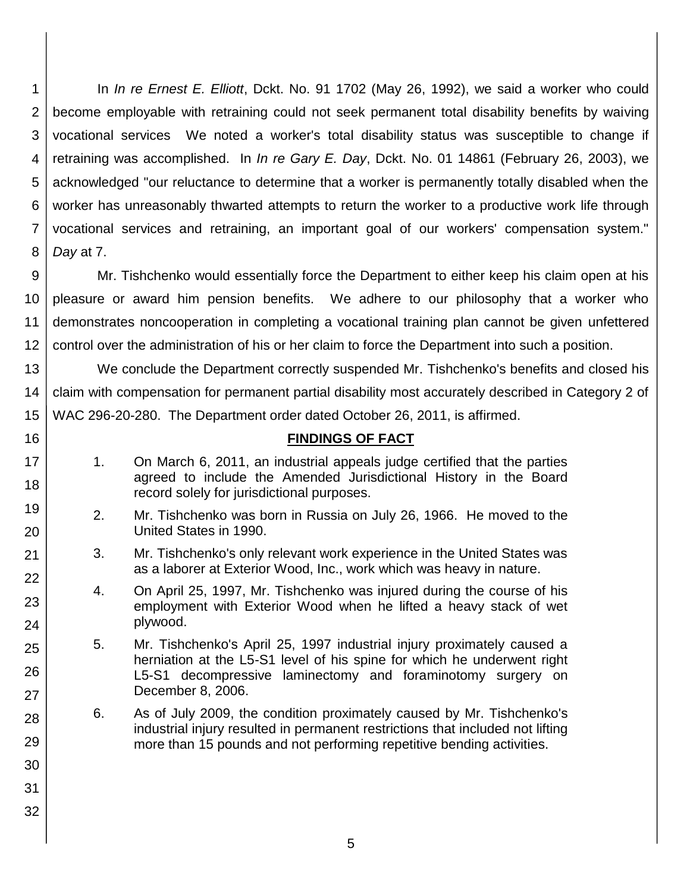1 2 3 4 5 6 7 8 In *In re Ernest E. Elliott*, Dckt. No. 91 1702 (May 26, 1992), we said a worker who could become employable with retraining could not seek permanent total disability benefits by waiving vocational services We noted a worker's total disability status was susceptible to change if retraining was accomplished. In *In re Gary E. Day*, Dckt. No. 01 14861 (February 26, 2003), we acknowledged "our reluctance to determine that a worker is permanently totally disabled when the worker has unreasonably thwarted attempts to return the worker to a productive work life through vocational services and retraining, an important goal of our workers' compensation system." *Day* at 7.

9 10 11 12 Mr. Tishchenko would essentially force the Department to either keep his claim open at his pleasure or award him pension benefits. We adhere to our philosophy that a worker who demonstrates noncooperation in completing a vocational training plan cannot be given unfettered control over the administration of his or her claim to force the Department into such a position.

13 14 15 We conclude the Department correctly suspended Mr. Tishchenko's benefits and closed his claim with compensation for permanent partial disability most accurately described in Category 2 of WAC 296-20-280. The Department order dated October 26, 2011, is affirmed.

#### **FINDINGS OF FACT**

1. On March 6, 2011, an industrial appeals judge certified that the parties agreed to include the Amended Jurisdictional History in the Board record solely for jurisdictional purposes.

16

17

18

19

20

21

22

23

24

25

26

27

28

29

30

31

32

- 2. Mr. Tishchenko was born in Russia on July 26, 1966. He moved to the United States in 1990.
- 3. Mr. Tishchenko's only relevant work experience in the United States was as a laborer at Exterior Wood, Inc., work which was heavy in nature.
- 4. On April 25, 1997, Mr. Tishchenko was injured during the course of his employment with Exterior Wood when he lifted a heavy stack of wet plywood.

5. Mr. Tishchenko's April 25, 1997 industrial injury proximately caused a herniation at the L5-S1 level of his spine for which he underwent right L5-S1 decompressive laminectomy and foraminotomy surgery on December 8, 2006.

- 6. As of July 2009, the condition proximately caused by Mr. Tishchenko's industrial injury resulted in permanent restrictions that included not lifting more than 15 pounds and not performing repetitive bending activities.
	- 5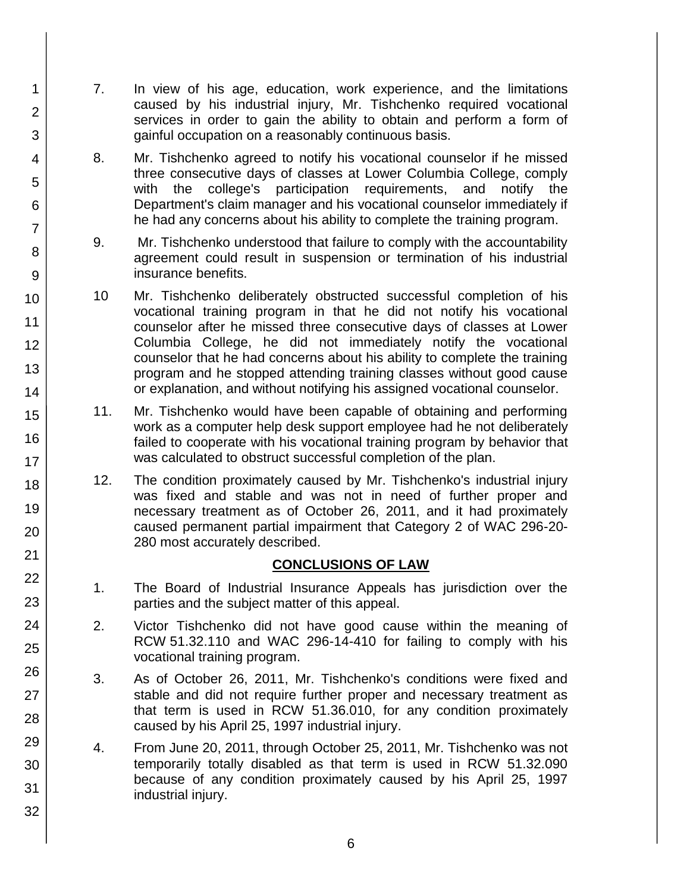- 7. In view of his age, education, work experience, and the limitations caused by his industrial injury, Mr. Tishchenko required vocational services in order to gain the ability to obtain and perform a form of gainful occupation on a reasonably continuous basis.
	- 8. Mr. Tishchenko agreed to notify his vocational counselor if he missed three consecutive days of classes at Lower Columbia College, comply with the college's participation requirements, and notify the Department's claim manager and his vocational counselor immediately if he had any concerns about his ability to complete the training program.
	- 9. Mr. Tishchenko understood that failure to comply with the accountability agreement could result in suspension or termination of his industrial insurance benefits.
	- 10 Mr. Tishchenko deliberately obstructed successful completion of his vocational training program in that he did not notify his vocational counselor after he missed three consecutive days of classes at Lower Columbia College, he did not immediately notify the vocational counselor that he had concerns about his ability to complete the training program and he stopped attending training classes without good cause or explanation, and without notifying his assigned vocational counselor.
	- 11. Mr. Tishchenko would have been capable of obtaining and performing work as a computer help desk support employee had he not deliberately failed to cooperate with his vocational training program by behavior that was calculated to obstruct successful completion of the plan.
	- 12. The condition proximately caused by Mr. Tishchenko's industrial injury was fixed and stable and was not in need of further proper and necessary treatment as of October 26, 2011, and it had proximately caused permanent partial impairment that Category 2 of WAC 296-20- 280 most accurately described.

### **CONCLUSIONS OF LAW**

- 1. The Board of Industrial Insurance Appeals has jurisdiction over the parties and the subject matter of this appeal.
- 2. Victor Tishchenko did not have good cause within the meaning of RCW 51.32.110 and WAC 296-14-410 for failing to comply with his vocational training program.
- 3. As of October 26, 2011, Mr. Tishchenko's conditions were fixed and stable and did not require further proper and necessary treatment as that term is used in RCW 51.36.010, for any condition proximately caused by his April 25, 1997 industrial injury.
- 4. From June 20, 2011, through October 25, 2011, Mr. Tishchenko was not temporarily totally disabled as that term is used in RCW 51.32.090 because of any condition proximately caused by his April 25, 1997 industrial injury.

1

2

3

4

5

6

7

8

9

10

11

12

13

14

15

16

17 18

19

20

21 22

23

24

25

26

27

28

29

30

31